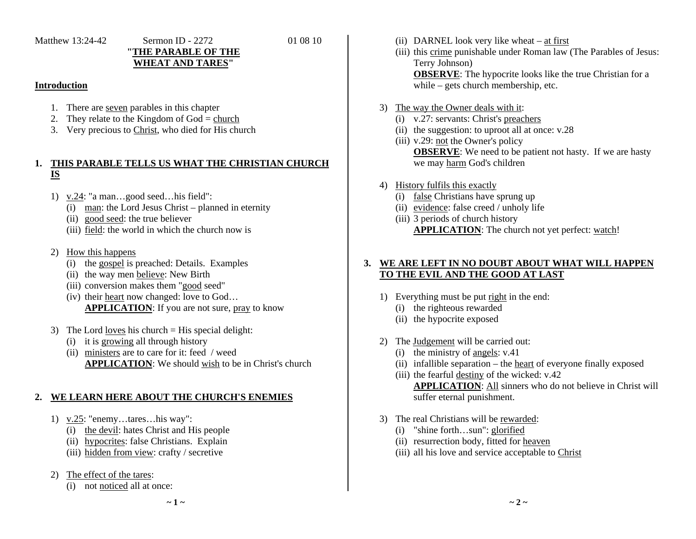# Matthew 13:24-42 Sermon ID - 2272 01 08 10

# **"THE PARABLE OF THE WHEAT AND TARES"**

### **Introduction**

- 1. There are <u>seven</u> parables in this chapter
- 2. They relate to the Kingdom of  $God = church$
- 3. Very precious to Christ, who died for His church

#### **1. THIS PARABLE TELLS US WHAT THE CHRISTIAN CHURCH IS**

- 1) v.24: "a man…good seed…his field":
	- (i) man: the Lord Jesus Christ planned in eternity
	- (ii) good seed: the true believer
	- (iii) field: the world in which the church now is
- 2) How this happens
	- (i) the gospel is preached: Details. Examples
	- (ii) the way men believe: New Birth
	- (iii) conversion makes them "good seed"
	- (iv) their heart now changed: love to God… **APPLICATION**: If you are not sure, pray to know
- 3) The Lord loves his church  $=$  His special delight:
	- (i) it is growing all through history
	- (ii) ministers are to care for it: feed / weed **APPLICATION**: We should wish to be in Christ's church

#### **2.WE LEARN HERE ABOUT THE CHURCH'S ENEMIES**

- 1) v.25: "enemy…tares…his way":
	- (i) the devil: hates Christ and His people
	- (ii) hypocrites: false Christians. Explain
	- (iii) hidden from view: crafty / secretive
- 2) The effect of the tares:
	- (i) not noticed all at once:
- (ii) DARNEL look very like wheat at first
- (iii) this crime punishable under Roman law (The Parables of Jesus: Terry Johnson) **OBSERVE**: The hypocrite looks like the true Christian for a while – gets church membership, etc.
- 3) The way the Owner deals with it:
	- (i) v.27: servants: Christ's preachers
	- (ii) the suggestion: to uproot all at once: v.28
	- (iii) v.29: not the Owner's policy **OBSERVE**: We need to be patient not hasty. If we are hasty we may harm God's children
- 4) History fulfils this exactly
	- (i) false Christians have sprung up
	- (ii) evidence: false creed / unholy life
	- (iii) 3 periods of church history **APPLICATION**: The church not yet perfect: watch!

## **3. WE ARE LEFT IN NO DOUBT ABOUT WHAT WILL HAPPEN TO THE EVIL AND THE GOOD AT LAST**

- 1) Everything must be put right in the end:
	- (i) the righteous rewarded
	- (ii) the hypocrite exposed
- 2) The Judgement will be carried out:
	- (i) the ministry of angels: v.41
	- (ii) infallible separation the heart of everyone finally exposed
	- (iii) the fearful destiny of the wicked: v.42 **APPLICATION**: All sinners who do not believe in Christ will suffer eternal punishment.
- 3) The real Christians will be rewarded:
	- (i) "shine forth…sun": glorified
	- (ii) resurrection body, fitted for heaven
	- (iii) all his love and service acceptable to Christ